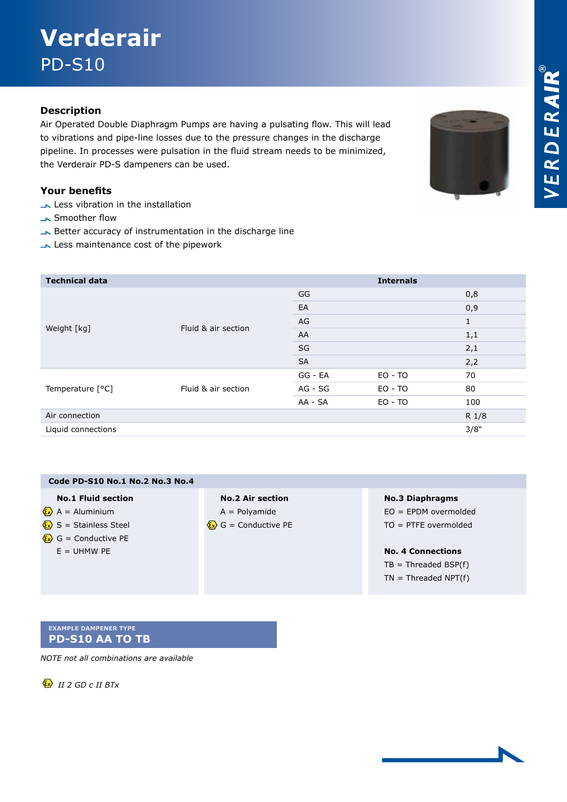# **Verderair**  PD-S10

### **Description**

Air Operated Double Diaphragm Pumps are having a pulsating flow. This will lead to vibrations and pipe-line losses due to the pressure changes in the discharge pipeline. In processes were pulsation in the fluid stream needs to be minimized, the Verderair PD-S dampeners can be used.

#### **Your benefits**

- Less vibration in the installation
- Smoother flow
- Better accuracy of instrumentation in the discharge line
- Less maintenance cost of the pipework

| <b>Technical data</b> |                     |           | <b>Internals</b> |              |
|-----------------------|---------------------|-----------|------------------|--------------|
| Weight [kg]           | Fluid & air section | GG        |                  | 0,8          |
|                       |                     | EA        |                  | 0,9          |
|                       |                     | AG        |                  | $\mathbf{1}$ |
|                       |                     | AA        |                  | 1,1          |
|                       |                     | SG        |                  | 2,1          |
|                       |                     | <b>SA</b> |                  | 2,2          |
| Temperature [°C]      | Fluid & air section | GG - EA   | $EO - TO$        | 70           |
|                       |                     | AG - SG   | EO - TO          | 80           |
|                       |                     | AA - SA   | $EO - TO$        | 100          |
| Air connection        |                     |           |                  | R 1/8        |
| Liquid connections    |                     |           |                  | 3/8"         |
|                       |                     |           |                  |              |

| Code PD-S10 No.1 No.2 No.3 No.4                      |                                       |                          |
|------------------------------------------------------|---------------------------------------|--------------------------|
| <b>No.1 Fluid section</b>                            | <b>No.2 Air section</b>               | <b>No.3 Diaphragms</b>   |
| $\langle \mathbf{x} \rangle$ A = Aluminium           | $A =$ Polyamide                       | $EO = EPDM$ overmolded   |
| $\langle \mathbf{x} \rangle$ S = Stainless Steel     | $\langle x \rangle$ G = Conductive PE | $TO = PTFE overmolded$   |
| $\langle \mathbf{\hat{x}} \rangle$ G = Conductive PE |                                       |                          |
| $E = UHMW PE$                                        |                                       | <b>No. 4 Connections</b> |
|                                                      |                                       | $TB = Threaded BSP(f)$   |
|                                                      |                                       | $TN = Threaded NPT(f)$   |
|                                                      |                                       |                          |

#### **Example dampener type PD-S10 AA TO TB**

*NOTE not all combinations are available*

 $\langle x \rangle$  *II 2 GD c II BTx*